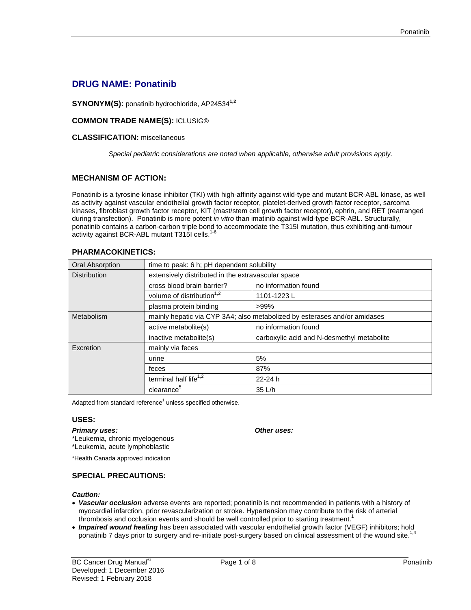# **DRUG NAME: Ponatinib**

**SYNONYM(S):** ponatinib hydrochloride, AP24534**1,2**

## **COMMON TRADE NAME(S):** ICLUSIG®

#### **CLASSIFICATION:** miscellaneous

*Special pediatric considerations are noted when applicable, otherwise adult provisions apply.*

## **MECHANISM OF ACTION:**

Ponatinib is a tyrosine kinase inhibitor (TKI) with high-affinity against wild-type and mutant BCR-ABL kinase, as well as activity against vascular endothelial growth factor receptor, platelet-derived growth factor receptor, sarcoma kinases, fibroblast growth factor receptor, KIT (mast/stem cell growth factor receptor), ephrin, and RET (rearranged during transfection). Ponatinib is more potent *in vitro* than imatinib against wild-type BCR-ABL. Structurally, ponatinib contains a carbon-carbon triple bond to accommodate the T315I mutation, thus exhibiting anti-tumour activity against BCR-ABL mutant T315I cells.<sup>1-6</sup>

| <b>Oral Absorption</b> | time to peak: 6 h; pH dependent solubility                                |                                            |
|------------------------|---------------------------------------------------------------------------|--------------------------------------------|
| <b>Distribution</b>    | extensively distributed in the extravascular space                        |                                            |
|                        | cross blood brain barrier?                                                | no information found                       |
|                        | volume of distribution <sup>1,2</sup>                                     | 1101-1223L                                 |
|                        | plasma protein binding                                                    | >99%                                       |
| Metabolism             | mainly hepatic via CYP 3A4; also metabolized by esterases and/or amidases |                                            |
|                        | active metabolite(s)                                                      | no information found                       |
|                        | inactive metabolite(s)                                                    | carboxylic acid and N-desmethyl metabolite |
| Excretion              | mainly via feces                                                          |                                            |
|                        | urine                                                                     | 5%                                         |
|                        | feces                                                                     | 87%                                        |
|                        | terminal half life $1,2$                                                  | 22-24 h                                    |
|                        | clearance <sup>5</sup>                                                    | 35 L/h                                     |

### **PHARMACOKINETICS:**

Adapted from standard reference $1$  unless specified otherwise.

#### **USES:**

*Primary uses: Other uses:*

\*Leukemia, chronic myelogenous \*Leukemia, acute lymphoblastic

\*Health Canada approved indication

## **SPECIAL PRECAUTIONS:**

*Caution:* 

- *Vascular occlusion* adverse events are reported; ponatinib is not recommended in patients with a history of myocardial infarction, prior revascularization or stroke. Hypertension may contribute to the risk of arterial thrombosis and occlusion events and should be well controlled prior to starting treatment.<sup>1</sup>
- *Impaired wound healing* has been associated with vascular endothelial growth factor (VEGF) inhibitors; hold ponatinib 7 days prior to surgery and re-initiate post-surgery based on clinical assessment of the wound site.<sup>1,4</sup>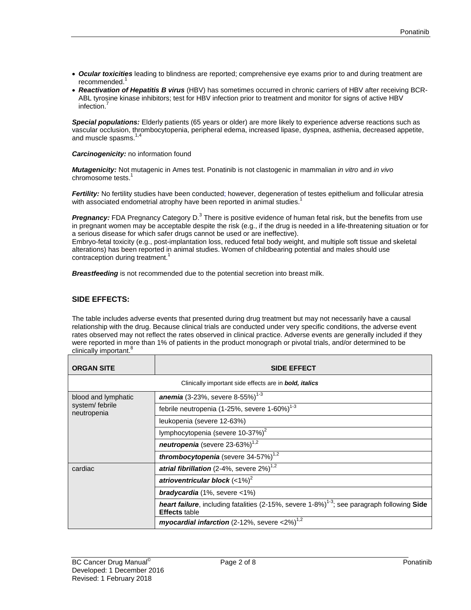- *Ocular toxicities* leading to blindness are reported; comprehensive eye exams prior to and during treatment are recommended.<sup>1</sup>
- *Reactivation of Hepatitis B virus* (HBV) has sometimes occurred in chronic carriers of HBV after receiving BCR-ABL tyrosine kinase inhibitors; test for HBV infection prior to treatment and monitor for signs of active HBV infection.<sup>7</sup>

*Special populations:* Elderly patients (65 years or older) are more likely to experience adverse reactions such as vascular occlusion, thrombocytopenia, peripheral edema, increased lipase, dyspnea, asthenia, decreased appetite, and muscle spasms. 1,4

#### *Carcinogenicity:* no information found

*Mutagenicity:* Not mutagenic in Ames test. Ponatinib is not clastogenic in mammalian *in vitro* and *in vivo* chromosome tests.<sup>1</sup>

*Fertility:* No fertility studies have been conducted; however, degeneration of testes epithelium and follicular atresia with associated endometrial atrophy have been reported in animal studies.<sup>1</sup>

**Pregnancy:** FDA Pregnancy Category D.<sup>3</sup> There is positive evidence of human fetal risk, but the benefits from use in pregnant women may be acceptable despite the risk (e.g., if the drug is needed in a life-threatening situation or for a serious disease for which safer drugs cannot be used or are ineffective).

Embryo-fetal toxicity (e.g., post-implantation loss, reduced fetal body weight, and multiple soft tissue and skeletal alterations) has been reported in animal studies. Women of childbearing potential and males should use contraception during treatment. 1

*Breastfeeding* is not recommended due to the potential secretion into breast milk.

## **SIDE EFFECTS:**

The table includes adverse events that presented during drug treatment but may not necessarily have a causal relationship with the drug. Because clinical trials are conducted under very specific conditions, the adverse event rates observed may not reflect the rates observed in clinical practice. Adverse events are generally included if they were reported in more than 1% of patients in the product monograph or pivotal trials, and/or determined to be clinically important.<sup>8</sup>

| <b>ORGAN SITE</b>                                    | <b>SIDE EFFECT</b>                                                                                                                         |
|------------------------------------------------------|--------------------------------------------------------------------------------------------------------------------------------------------|
|                                                      | Clinically important side effects are in <b>bold, italics</b>                                                                              |
| blood and lymphatic<br>system/febrile<br>neutropenia | <b>anemia</b> (3-23%, severe 8-55%) <sup>1-3</sup>                                                                                         |
|                                                      | febrile neutropenia (1-25%, severe 1-60%) <sup>1-3</sup>                                                                                   |
|                                                      | leukopenia (severe 12-63%)                                                                                                                 |
|                                                      | lymphocytopenia (severe 10-37%) <sup>2</sup>                                                                                               |
|                                                      | neutropenia (severe $23-63\%$ ) <sup>1,2</sup>                                                                                             |
|                                                      | <b>thrombocytopenia</b> (severe $34-57\%$ ) <sup>1,2</sup>                                                                                 |
| cardiac                                              | atrial fibrillation (2-4%, severe $2\%)^{1,2}$                                                                                             |
|                                                      | atrioventricular block $(<1%)^2$                                                                                                           |
|                                                      | <b>bradycardia</b> $(1\%$ , severe $\langle 1\% \rangle$                                                                                   |
|                                                      | <b>heart failure</b> , including fatalities (2-15%, severe $1-8\%$ ) <sup>1-3</sup> ; see paragraph following Side<br><b>Effects</b> table |
|                                                      | myocardial infarction (2-12%, severe $<$ 2%) <sup>1,2</sup>                                                                                |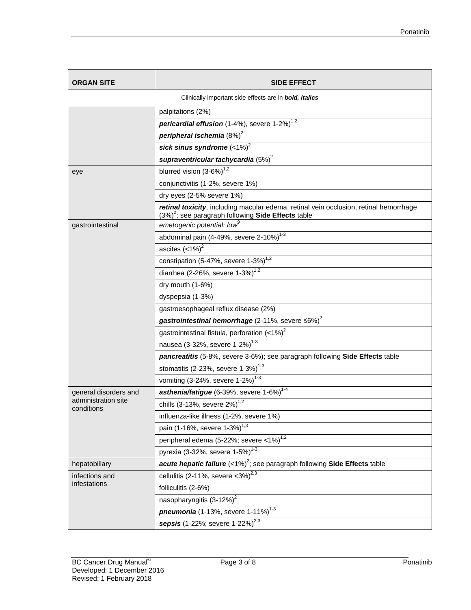| <b>ORGAN SITE</b>                                             | <b>SIDE EFFECT</b>                                                                                                                              |  |
|---------------------------------------------------------------|-------------------------------------------------------------------------------------------------------------------------------------------------|--|
| Clinically important side effects are in <b>bold, italics</b> |                                                                                                                                                 |  |
|                                                               | palpitations (2%)                                                                                                                               |  |
|                                                               | <i>pericardial effusion</i> (1-4%), severe $1-2\%)$ <sup>1,2</sup>                                                                              |  |
|                                                               | peripheral ischemia $(8\%)^2$                                                                                                                   |  |
|                                                               | sick sinus syndrome $(<1%)^2$                                                                                                                   |  |
|                                                               | supraventricular tachycardia (5%) <sup>2</sup>                                                                                                  |  |
| eye                                                           | blurred vision (3-6%) <sup>1,2</sup>                                                                                                            |  |
|                                                               | conjunctivitis (1-2%, severe 1%)                                                                                                                |  |
|                                                               | dry eyes (2-5% severe 1%)                                                                                                                       |  |
|                                                               | retinal toxicity, including macular edema, retinal vein occlusion, retinal hemorrhage<br>$(3\%)^2$ ; see paragraph following Side Effects table |  |
| gastrointestinal                                              | emetogenic potential: low <sup>9</sup>                                                                                                          |  |
|                                                               | abdominal pain (4-49%, severe 2-10%) <sup>1-3</sup>                                                                                             |  |
|                                                               | ascites $(<1%)^2$                                                                                                                               |  |
|                                                               | constipation (5-47%, severe 1-3%) <sup>1,2</sup>                                                                                                |  |
|                                                               | diarrhea (2-26%, severe 1-3%) $^{1,2}$                                                                                                          |  |
|                                                               | dry mouth $(1-6%)$                                                                                                                              |  |
|                                                               | dyspepsia (1-3%)                                                                                                                                |  |
|                                                               | gastroesophageal reflux disease (2%)                                                                                                            |  |
|                                                               | gastrointestinal hemorrhage (2-11%, severe $\leq 6\%)^2$                                                                                        |  |
|                                                               | gastrointestinal fistula, perforation $(<1%)^2$                                                                                                 |  |
|                                                               | nausea (3-32%, severe 1-2%) <sup>1-3</sup>                                                                                                      |  |
|                                                               | pancreatitis (5-8%, severe 3-6%); see paragraph following Side Effects table                                                                    |  |
|                                                               | stomatitis (2-23%, severe $1-3\%$ ) <sup>1-3</sup>                                                                                              |  |
|                                                               | vomiting (3-24%, severe 1-2%) <sup>1-3</sup>                                                                                                    |  |
| general disorders and                                         | asthenia/fatigue (6-39%, severe 1-6%) <sup>1-4</sup>                                                                                            |  |
| administration site<br>conditions                             | chills (3-13%, severe $2\%)^{1,2}$                                                                                                              |  |
|                                                               | influenza-like illness (1-2%, severe 1%)                                                                                                        |  |
|                                                               | pain (1-16%, severe 1-3%) <sup>1,3</sup>                                                                                                        |  |
|                                                               | peripheral edema (5-22%; severe <1%) <sup>1,2</sup>                                                                                             |  |
|                                                               | pyrexia (3-32%, severe 1-5%) <sup>1-3</sup>                                                                                                     |  |
| hepatobiliary                                                 | acute hepatic failure $\left\langle \langle 1\% \rangle^2 \right\rangle$ ; see paragraph following Side Effects table                           |  |
| infections and                                                | cellulitis (2-11%, severe $<$ 3%) <sup>2,3</sup>                                                                                                |  |
| infestations                                                  | folliculitis (2-6%)                                                                                                                             |  |
|                                                               | nasopharyngitis (3-12%) <sup>2</sup>                                                                                                            |  |
|                                                               | <b>pneumonia</b> (1-13%, severe 1-11%) <sup>1-3</sup>                                                                                           |  |
|                                                               | sepsis (1-22%; severe 1-22%) <sup>2,3</sup>                                                                                                     |  |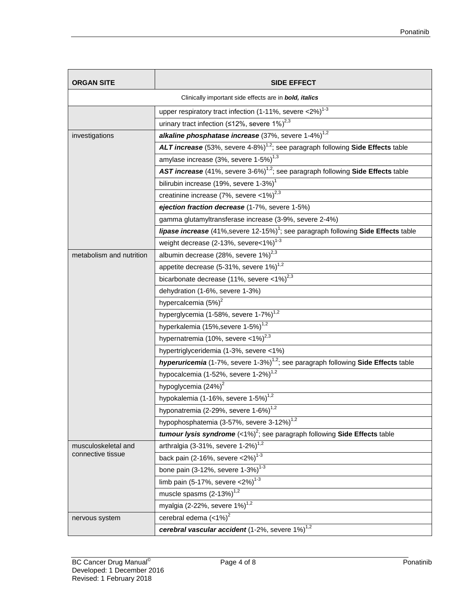| <b>ORGAN SITE</b>                                      | <b>SIDE EFFECT</b>                                                                                           |  |
|--------------------------------------------------------|--------------------------------------------------------------------------------------------------------------|--|
| Clinically important side effects are in bold, italics |                                                                                                              |  |
|                                                        | upper respiratory tract infection (1-11%, severe $\langle 296 \rangle^{1-3}$                                 |  |
|                                                        | urinary tract infection ( $\leq 12\%$ , severe $1\%$ ) <sup>2,3</sup>                                        |  |
| investigations                                         | alkaline phosphatase increase (37%, severe 1-4%) <sup>1,2</sup>                                              |  |
|                                                        | ALT increase (53%, severe 4-8%) <sup>1,2</sup> ; see paragraph following Side Effects table                  |  |
|                                                        | amylase increase (3%, severe 1-5%) <sup>1,3</sup>                                                            |  |
|                                                        | AST increase (41%, severe 3-6%) <sup>1,2</sup> ; see paragraph following Side Effects table                  |  |
|                                                        | bilirubin increase (19%, severe 1-3%) <sup>1</sup>                                                           |  |
|                                                        | creatinine increase (7%, severe $<$ 1%) <sup>2,3</sup>                                                       |  |
|                                                        | ejection fraction decrease (1-7%, severe 1-5%)                                                               |  |
|                                                        | gamma glutamyltransferase increase (3-9%, severe 2-4%)                                                       |  |
|                                                        | <b>lipase increase</b> (41%, severe 12-15%) <sup>1</sup> ; see paragraph following <b>Side Effects</b> table |  |
|                                                        | weight decrease (2-13%, severe<1%) $1-3$                                                                     |  |
| metabolism and nutrition                               | albumin decrease (28%, severe 1%) <sup>2,3</sup>                                                             |  |
|                                                        | appetite decrease (5-31%, severe 1%) <sup>1,2</sup>                                                          |  |
|                                                        | bicarbonate decrease (11%, severe $\langle 1\% \rangle^{2,3}$                                                |  |
|                                                        | dehydration (1-6%, severe 1-3%)                                                                              |  |
|                                                        | hypercalcemia (5%) <sup>2</sup>                                                                              |  |
|                                                        | hyperglycemia (1-58%, severe 1-7%) <sup>1,2</sup>                                                            |  |
|                                                        | hyperkalemia (15%, severe 1-5%) <sup>1,2</sup>                                                               |  |
|                                                        | hypernatremia (10%, severe $\langle 1\% \rangle^{2,3}$                                                       |  |
|                                                        | hypertriglyceridemia (1-3%, severe <1%)                                                                      |  |
|                                                        | <b>hyperuricemia</b> (1-7%, severe 1-3%) <sup>1,2</sup> ; see paragraph following <b>Side Effects</b> table  |  |
|                                                        | hypocalcemia (1-52%, severe 1-2%) <sup>1,2</sup>                                                             |  |
|                                                        | hypoglycemia (24%) <sup>2</sup>                                                                              |  |
|                                                        | hypokalemia (1-16%, severe 1-5%) <sup>1,2</sup>                                                              |  |
|                                                        | hyponatremia (2-29%, severe 1-6%) <sup>1,2</sup>                                                             |  |
|                                                        | hypophosphatemia (3-57%, severe 3-12%) <sup>1,2</sup>                                                        |  |
|                                                        | tumour lysis syndrome $(<1%)^2$ ; see paragraph following Side Effects table                                 |  |
| musculoskeletal and                                    | arthralgia (3-31%, severe 1-2%) <sup>1,2</sup>                                                               |  |
| connective tissue                                      | back pain (2-16%, severe $<$ 2%) <sup>1-3</sup>                                                              |  |
|                                                        | bone pain (3-12%, severe 1-3%) <sup>1-3</sup>                                                                |  |
|                                                        | limb pain (5-17%, severe $<$ 2%) <sup>1-3</sup>                                                              |  |
|                                                        | muscle spasms (2-13%) <sup>1,2</sup>                                                                         |  |
|                                                        | myalgia (2-22%, severe 1%) <sup>1,2</sup>                                                                    |  |
| nervous system                                         | cerebral edema (<1%) <sup>2</sup>                                                                            |  |
|                                                        | cerebral vascular accident (1-2%, severe 1%) <sup>1,2</sup>                                                  |  |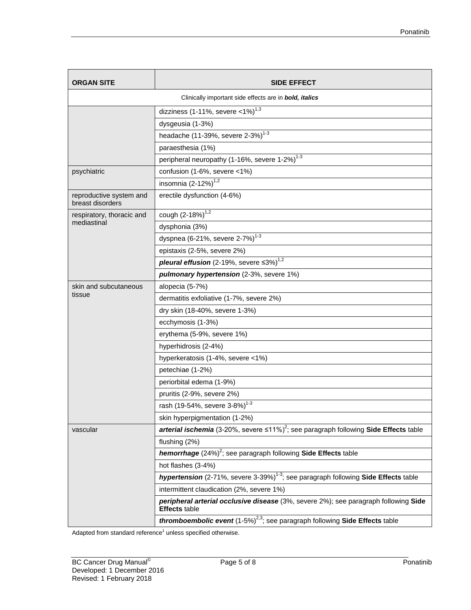| <b>ORGAN SITE</b>                                                     | <b>SIDE EFFECT</b>                                                                                           |  |
|-----------------------------------------------------------------------|--------------------------------------------------------------------------------------------------------------|--|
| Clinically important side effects are in <b>bold</b> , <i>italics</i> |                                                                                                              |  |
|                                                                       | dizziness (1-11%, severe $<$ 1%) <sup>1,3</sup>                                                              |  |
|                                                                       | dysgeusia (1-3%)                                                                                             |  |
|                                                                       | headache (11-39%, severe 2-3%) <sup>1-3</sup>                                                                |  |
|                                                                       | paraesthesia (1%)                                                                                            |  |
|                                                                       | peripheral neuropathy (1-16%, severe 1-2%) <sup>1-3</sup>                                                    |  |
| psychiatric                                                           | confusion (1-6%, severe <1%)                                                                                 |  |
|                                                                       | insomnia (2-12%) <sup>1,2</sup>                                                                              |  |
| reproductive system and<br>breast disorders                           | erectile dysfunction (4-6%)                                                                                  |  |
| respiratory, thoracic and                                             | cough (2-18%) <sup>1,2</sup>                                                                                 |  |
| mediastinal                                                           | dysphonia (3%)                                                                                               |  |
|                                                                       | dyspnea (6-21%, severe 2-7%) <sup>1-3</sup>                                                                  |  |
|                                                                       | epistaxis (2-5%, severe 2%)                                                                                  |  |
|                                                                       | pleural effusion (2-19%, severe $\leq 3\%$ ) <sup>1,2</sup>                                                  |  |
|                                                                       | pulmonary hypertension (2-3%, severe 1%)                                                                     |  |
| skin and subcutaneous                                                 | alopecia (5-7%)                                                                                              |  |
| tissue                                                                | dermatitis exfoliative (1-7%, severe 2%)                                                                     |  |
|                                                                       | dry skin (18-40%, severe 1-3%)                                                                               |  |
|                                                                       | ecchymosis (1-3%)                                                                                            |  |
|                                                                       | erythema (5-9%, severe 1%)                                                                                   |  |
|                                                                       | hyperhidrosis (2-4%)                                                                                         |  |
|                                                                       | hyperkeratosis (1-4%, severe <1%)                                                                            |  |
|                                                                       | petechiae (1-2%)                                                                                             |  |
|                                                                       | periorbital edema (1-9%)                                                                                     |  |
|                                                                       | pruritis (2-9%, severe 2%)                                                                                   |  |
|                                                                       | rash (19-54%, severe 3-8%) <sup>1-3</sup>                                                                    |  |
|                                                                       | skin hyperpigmentation (1-2%)                                                                                |  |
| vascular                                                              | arterial ischemia (3-20%, severe $\leq 11\%$ ) <sup>2</sup> ; see paragraph following Side Effects table     |  |
|                                                                       | flushing (2%)                                                                                                |  |
|                                                                       | <b>hemorrhage</b> $(24%)^2$ ; see paragraph following <b>Side Effects</b> table                              |  |
|                                                                       | hot flashes (3-4%)                                                                                           |  |
|                                                                       | <b>hypertension</b> (2-71%, severe 3-39%) <sup>1-3</sup> ; see paragraph following <b>Side Effects</b> table |  |
|                                                                       | intermittent claudication (2%, severe 1%)                                                                    |  |
|                                                                       | peripheral arterial occlusive disease (3%, severe 2%); see paragraph following Side<br><b>Effects table</b>  |  |
|                                                                       | <i>thromboembolic event</i> $(1-5\%)^{2,3}$ ; see paragraph following <b>Side Effects</b> table              |  |

Adapted from standard reference $1$  unless specified otherwise.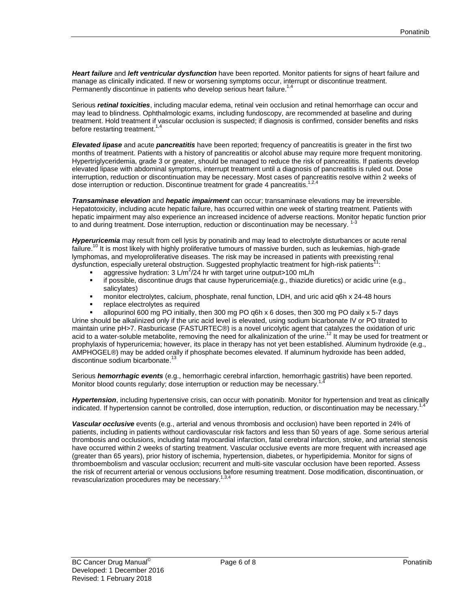*Heart failure* and *left ventricular dysfunction* have been reported. Monitor patients for signs of heart failure and manage as clinically indicated. If new or worsening symptoms occur, interrupt or discontinue treatment. Permanently discontinue in patients who develop serious heart failure.<sup>1,4</sup>

Serious *retinal toxicities*, including macular edema, retinal vein occlusion and retinal hemorrhage can occur and may lead to blindness. Ophthalmologic exams, including fundoscopy, are recommended at baseline and during treatment. Hold treatment if vascular occlusion is suspected; if diagnosis is confirmed, consider benefits and risks before restarting treatment.<sup>1,4</sup>

*Elevated lipase* and acute *pancreatitis* have been reported; frequency of pancreatitis is greater in the first two months of treatment. Patients with a history of pancreatitis or alcohol abuse may require more frequent monitoring. Hypertriglyceridemia, grade 3 or greater, should be managed to reduce the risk of pancreatitis. If patients develop elevated lipase with abdominal symptoms, interrupt treatment until a diagnosis of pancreatitis is ruled out. Dose interruption, reduction or discontinuation may be necessary. Most cases of pancreatitis resolve within 2 weeks of dose interruption or reduction. Discontinue treatment for grade 4 pancreatitis.<sup>1</sup>

*Transaminase elevation* and *hepatic impairment* can occur; transaminase elevations may be irreversible. Hepatotoxicity, including acute hepatic failure, has occurred within one week of starting treatment. Patients with hepatic impairment may also experience an increased incidence of adverse reactions. Monitor hepatic function prior to and during treatment. Dose interruption, reduction or discontinuation may be necessary.

*Hyperuricemia* may result from cell lysis by ponatinib and may lead to electrolyte disturbances or acute renal failure.<sup>10</sup> It is most likely with highly proliferative tumours of massive burden, such as leukemias, high-grade lymphomas, and myeloproliferative diseases. The risk may be increased in patients with preexisting renal dysfunction, especially ureteral obstruction. Suggested prophylactic treatment for high-risk patients<sup>1</sup>

- qgressive hydration: 3 L/m<sup>2</sup>/24 hr with target urine output>100 mL/h
- if possible, discontinue drugs that cause hyperuricemia(e.g., thiazide diuretics) or acidic urine (e.g., salicylates)
- monitor electrolytes, calcium, phosphate, renal function, LDH, and uric acid q6h x 24-48 hours
- replace electrolytes as required
- allopurinol 600 mg PO initially, then 300 mg PO q6h x 6 doses, then 300 mg PO daily x 5-7 days

Urine should be alkalinized only if the uric acid level is elevated, using sodium bicarbonate IV or PO titrated to maintain urine pH>7. Rasburicase (FASTURTEC®) is a novel uricolytic agent that catalyzes the oxidation of uric acid to a water-soluble metabolite, removing the need for alkalinization of the urine.<sup>12</sup> It may be used for treatment or prophylaxis of hyperuricemia; however, its place in therapy has not yet been established. Aluminum hydroxide (e.g., AMPHOGEL®) may be added orally if phosphate becomes elevated. If aluminum hydroxide has been added, discontinue sodium bicarbonate.<sup>13</sup>

Serious *hemorrhagic events* (e.g., hemorrhagic cerebral infarction, hemorrhagic gastritis) have been reported. Monitor blood counts regularly; dose interruption or reduction may be necessary.

*Hypertension*, including hypertensive crisis, can occur with ponatinib. Monitor for hypertension and treat as clinically indicated. If hypertension cannot be controlled, dose interruption, reduction, or discontinuation may be necessary.<sup>1</sup>

*Vascular occlusive* events (e.g., arterial and venous thrombosis and occlusion) have been reported in 24% of patients, including in patients without cardiovascular risk factors and less than 50 years of age. Some serious arterial thrombosis and occlusions, including fatal myocardial infarction, fatal cerebral infarction, stroke, and arterial stenosis have occurred within 2 weeks of starting treatment. Vascular occlusive events are more frequent with increased age (greater than 65 years), prior history of ischemia, hypertension, diabetes, or hyperlipidemia. Monitor for signs of thromboembolism and vascular occlusion; recurrent and multi-site vascular occlusion have been reported. Assess the risk of recurrent arterial or venous occlusions before resuming treatment. Dose modification, discontinuation, or revascularization procedures may be necessary.<sup>1,3,4</sup>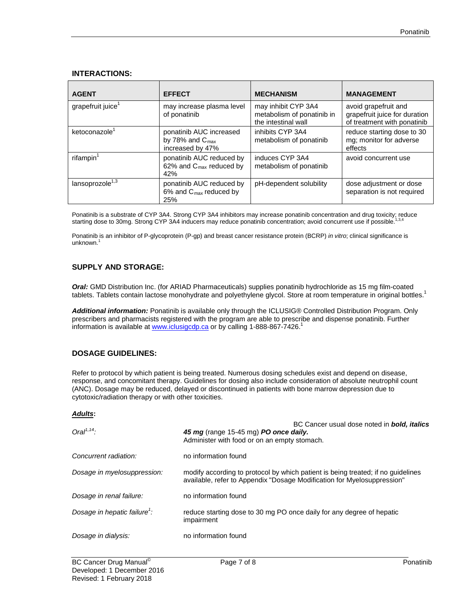## **INTERACTIONS:**

| <b>AGENT</b>                  | <b>EFFECT</b>                                                              | <b>MECHANISM</b>                                                         | <b>MANAGEMENT</b>                                                                    |
|-------------------------------|----------------------------------------------------------------------------|--------------------------------------------------------------------------|--------------------------------------------------------------------------------------|
| grapefruit juice <sup>1</sup> | may increase plasma level<br>of ponatinib                                  | may inhibit CYP 3A4<br>metabolism of ponatinib in<br>the intestinal wall | avoid grapefruit and<br>grapefruit juice for duration<br>of treatment with ponatinib |
| ketoconazole <sup>1</sup>     | ponatinib AUC increased<br>by 78% and $C_{\text{max}}$<br>increased by 47% | inhibits CYP 3A4<br>metabolism of ponatinib                              | reduce starting dose to 30<br>mg; monitor for adverse<br>effects                     |
| rifampin $1$                  | ponatinib AUC reduced by<br>62% and $C_{\text{max}}$ reduced by<br>42%     | induces CYP 3A4<br>metabolism of ponatinib                               | avoid concurrent use                                                                 |
| lansoprozole <sup>1,3</sup>   | ponatinib AUC reduced by<br>6% and C <sub>max</sub> reduced by<br>25%      | pH-dependent solubility                                                  | dose adjustment or dose<br>separation is not required                                |

Ponatinib is a substrate of CYP 3A4. Strong CYP 3A4 inhibitors may increase ponatinib concentration and drug toxicity; reduce starting dose to 30mg. Strong CYP 3A4 inducers may reduce ponatinib concentration; avoid concurrent use if possible.<sup>1,3,4</sup>

Ponatinib is an inhibitor of P-glycoprotein (P-gp) and breast cancer resistance protein (BCRP) *in vitro*; clinical significance is  $unknown<sup>1</sup>$ 

## **SUPPLY AND STORAGE:**

*Oral:* GMD Distribution Inc. (for ARIAD Pharmaceuticals) supplies ponatinib hydrochloride as 15 mg film-coated tablets. Tablets contain lactose monohydrate and polyethylene glycol. Store at room temperature in original bottles.<sup>1</sup>

*Additional information:* Ponatinib is available only through the ICLUSIG® Controlled Distribution Program. Only prescribers and pharmacists registered with the program are able to prescribe and dispense ponatinib. Further information is available a[t www.iclusigcdp.ca](http://www.iclusigcdp.ca/) or by calling 1-888-867-7426.<sup>1</sup>

## **DOSAGE GUIDELINES:**

Refer to protocol by which patient is being treated. Numerous dosing schedules exist and depend on disease, response, and concomitant therapy. Guidelines for dosing also include consideration of absolute neutrophil count (ANC). Dosage may be reduced, delayed or discontinued in patients with bone marrow depression due to cytotoxic/radiation therapy or with other toxicities.

## *Adults***:**

| Oral <sup><math>1,14</math></sup> :      | BC Cancer usual dose noted in <b>bold, italics</b><br>45 mg (range 15-45 mg) PO once daily.<br>Administer with food or on an empty stomach.                 |
|------------------------------------------|-------------------------------------------------------------------------------------------------------------------------------------------------------------|
| Concurrent radiation:                    | no information found                                                                                                                                        |
| Dosage in myelosuppression:              | modify according to protocol by which patient is being treated; if no guidelines<br>available, refer to Appendix "Dosage Modification for Myelosuppression" |
| Dosage in renal failure:                 | no information found                                                                                                                                        |
| Dosage in hepatic failure <sup>1</sup> : | reduce starting dose to 30 mg PO once daily for any degree of hepatic<br>impairment                                                                         |
| Dosage in dialysis:                      | no information found                                                                                                                                        |